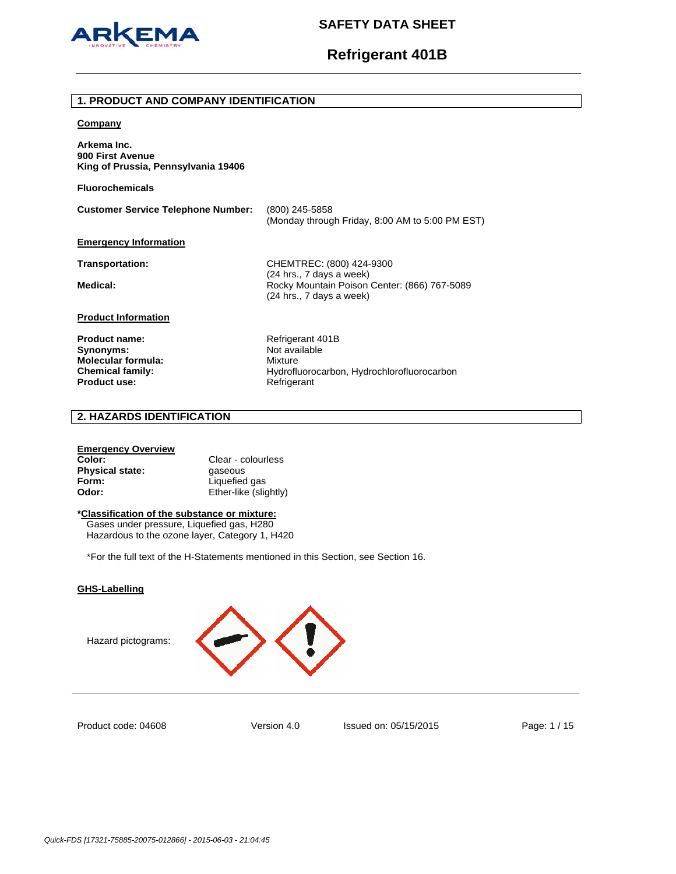

# **Refrigerant 401B**

### **1. PRODUCT AND COMPANY IDENTIFICATION**

### **Company**

**Arkema Inc. 900 First Avenue King of Prussia, Pennsylvania 19406** 

**Fluorochemicals**

**Customer Service Telephone Number:** (800) 245-5858 (Monday through Friday, 8:00 AM to 5:00 PM EST) **Emergency Information**

**Transportation:** CHEMTREC: (800) 424-9300 (24 hrs., 7 days a week) Medical: **Medical: Rocky Mountain Poison Center: (866) 767-5089** (24 hrs., 7 days a week)

## **Product Information**

Product name: Refrigerant 401B **Synonyms:** Not available **Molecular formula:** Mixture Product use: **Product use:** Refrigerant

Chemical family: **Chemical family:** Hydrofluorocarbon, Hydrochlorofluorocarbon

## **2. HAZARDS IDENTIFICATION**

### **Emergency Overview**

| Color:                 | Clear - colourless    |
|------------------------|-----------------------|
| <b>Physical state:</b> | gaseous               |
| Form:                  | Liquefied gas         |
| Odor:                  | Ether-like (slightly) |

## **\*Classification of the substance or mixture:**

Gases under pressure, Liquefied gas, H280 Hazardous to the ozone layer, Category 1, H420

\*For the full text of the H-Statements mentioned in this Section, see Section 16.

### **GHS-Labelling**

Hazard pictograms:



Product code: 04608

Version 4.0 Issued on: 05/15/2015 Page: 1 / 15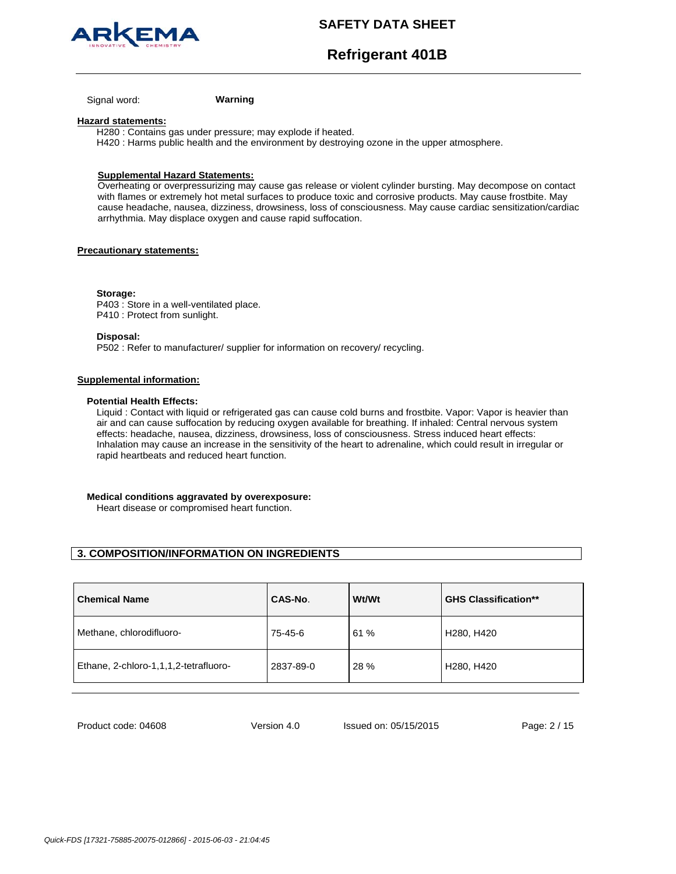



**Refrigerant 401B**

Signal word: **Warning**

### **Hazard statements:**

H280 : Contains gas under pressure; may explode if heated. H420 : Harms public health and the environment by destroying ozone in the upper atmosphere.

## **Supplemental Hazard Statements:**

Overheating or overpressurizing may cause gas release or violent cylinder bursting. May decompose on contact with flames or extremely hot metal surfaces to produce toxic and corrosive products. May cause frostbite. May cause headache, nausea, dizziness, drowsiness, loss of consciousness. May cause cardiac sensitization/cardiac arrhythmia. May displace oxygen and cause rapid suffocation.

#### **Precautionary statements:**

**Storage:** 

P403 : Store in a well-ventilated place. P410 : Protect from sunlight.

**Disposal:** 

P502 : Refer to manufacturer/ supplier for information on recovery/ recycling.

## **Supplemental information:**

#### **Potential Health Effects:**

Liquid : Contact with liquid or refrigerated gas can cause cold burns and frostbite. Vapor: Vapor is heavier than air and can cause suffocation by reducing oxygen available for breathing. If inhaled: Central nervous system effects: headache, nausea, dizziness, drowsiness, loss of consciousness. Stress induced heart effects: Inhalation may cause an increase in the sensitivity of the heart to adrenaline, which could result in irregular or rapid heartbeats and reduced heart function.

## **Medical conditions aggravated by overexposure:**

Heart disease or compromised heart function.

## **3. COMPOSITION/INFORMATION ON INGREDIENTS**

| <b>Chemical Name</b>                  | CAS-No.   | Wt/Wt | <b>GHS Classification**</b>         |
|---------------------------------------|-----------|-------|-------------------------------------|
| Methane, chlorodifluoro-              | 75-45-6   | 61 %  | H <sub>280</sub> , H <sub>420</sub> |
| Ethane, 2-chloro-1,1,1,2-tetrafluoro- | 2837-89-0 | 28 %  | H <sub>280</sub> , H <sub>420</sub> |

Product code: 04608

Version 4.0 Issued on: 05/15/2015 Page: 2 / 15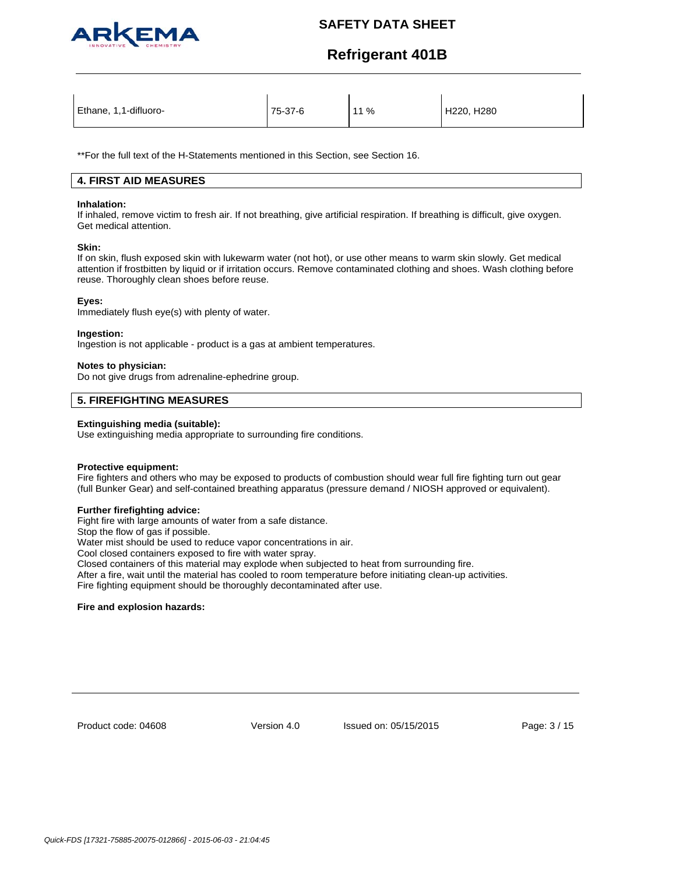

# **Refrigerant 401B**

| Ethane, 1,1-difluoro- | 75-37-6 | 11% | H220, H280 |
|-----------------------|---------|-----|------------|
|-----------------------|---------|-----|------------|

\*\*For the full text of the H-Statements mentioned in this Section, see Section 16.

## **4. FIRST AID MEASURES**

#### **Inhalation:**

If inhaled, remove victim to fresh air. If not breathing, give artificial respiration. If breathing is difficult, give oxygen. Get medical attention.

### **Skin:**

If on skin, flush exposed skin with lukewarm water (not hot), or use other means to warm skin slowly. Get medical attention if frostbitten by liquid or if irritation occurs. Remove contaminated clothing and shoes. Wash clothing before reuse. Thoroughly clean shoes before reuse.

## **Eyes:**

Immediately flush eye(s) with plenty of water.

### **Ingestion:**

Ingestion is not applicable - product is a gas at ambient temperatures.

## **Notes to physician:**

Do not give drugs from adrenaline-ephedrine group.

## **5. FIREFIGHTING MEASURES**

## **Extinguishing media (suitable):**

Use extinguishing media appropriate to surrounding fire conditions.

## **Protective equipment:**

Fire fighters and others who may be exposed to products of combustion should wear full fire fighting turn out gear (full Bunker Gear) and self-contained breathing apparatus (pressure demand / NIOSH approved or equivalent).

#### **Further firefighting advice:**

Fight fire with large amounts of water from a safe distance.

Stop the flow of gas if possible.

Water mist should be used to reduce vapor concentrations in air.

Cool closed containers exposed to fire with water spray.

Closed containers of this material may explode when subjected to heat from surrounding fire.

After a fire, wait until the material has cooled to room temperature before initiating clean-up activities.

Fire fighting equipment should be thoroughly decontaminated after use.

## **Fire and explosion hazards:**

Product code: 04608

Version 4.0 Issued on: 05/15/2015 Page: 3 / 15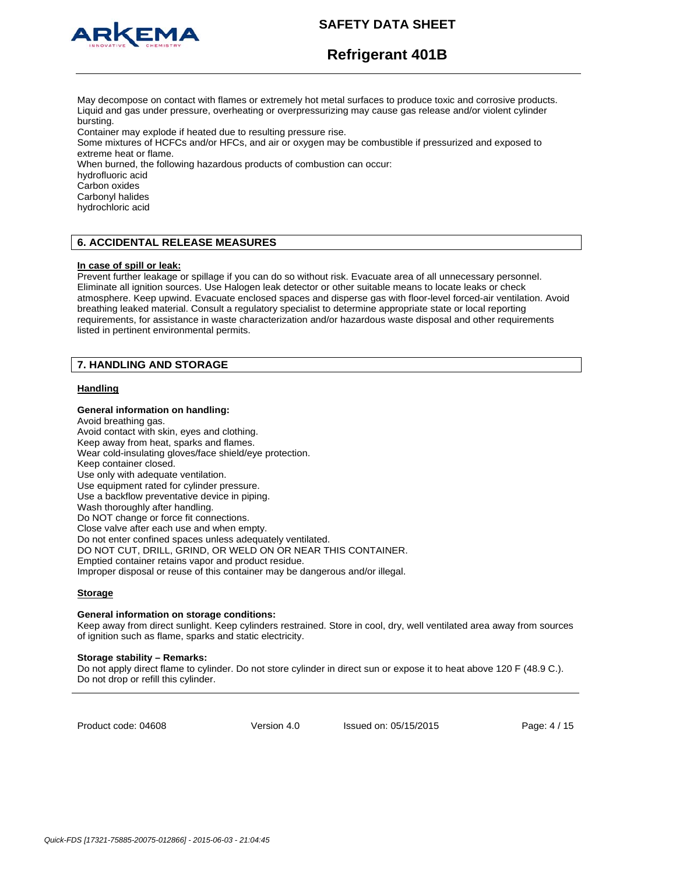

# **Refrigerant 401B**

May decompose on contact with flames or extremely hot metal surfaces to produce toxic and corrosive products. Liquid and gas under pressure, overheating or overpressurizing may cause gas release and/or violent cylinder bursting.

Container may explode if heated due to resulting pressure rise.

Some mixtures of HCFCs and/or HFCs, and air or oxygen may be combustible if pressurized and exposed to extreme heat or flame.

When burned, the following hazardous products of combustion can occur:

hydrofluoric acid

Carbon oxides

Carbonyl halides

hydrochloric acid

## **6. ACCIDENTAL RELEASE MEASURES**

#### **In case of spill or leak:**

Prevent further leakage or spillage if you can do so without risk. Evacuate area of all unnecessary personnel. Eliminate all ignition sources. Use Halogen leak detector or other suitable means to locate leaks or check atmosphere. Keep upwind. Evacuate enclosed spaces and disperse gas with floor-level forced-air ventilation. Avoid breathing leaked material. Consult a regulatory specialist to determine appropriate state or local reporting requirements, for assistance in waste characterization and/or hazardous waste disposal and other requirements listed in pertinent environmental permits.

## **7. HANDLING AND STORAGE**

## **Handling**

## **General information on handling:**

Avoid breathing gas. Avoid contact with skin, eyes and clothing. Keep away from heat, sparks and flames. Wear cold-insulating gloves/face shield/eye protection. Keep container closed. Use only with adequate ventilation. Use equipment rated for cylinder pressure. Use a backflow preventative device in piping. Wash thoroughly after handling. Do NOT change or force fit connections. Close valve after each use and when empty. Do not enter confined spaces unless adequately ventilated. DO NOT CUT, DRILL, GRIND, OR WELD ON OR NEAR THIS CONTAINER. Emptied container retains vapor and product residue. Improper disposal or reuse of this container may be dangerous and/or illegal.

## **Storage**

#### **General information on storage conditions:**

Keep away from direct sunlight. Keep cylinders restrained. Store in cool, dry, well ventilated area away from sources of ignition such as flame, sparks and static electricity.

#### **Storage stability – Remarks:**

Do not apply direct flame to cylinder. Do not store cylinder in direct sun or expose it to heat above 120 F (48.9 C.). Do not drop or refill this cylinder.

Product code: 04608

Version 4.0 Issued on: 05/15/2015 Page: 4 / 15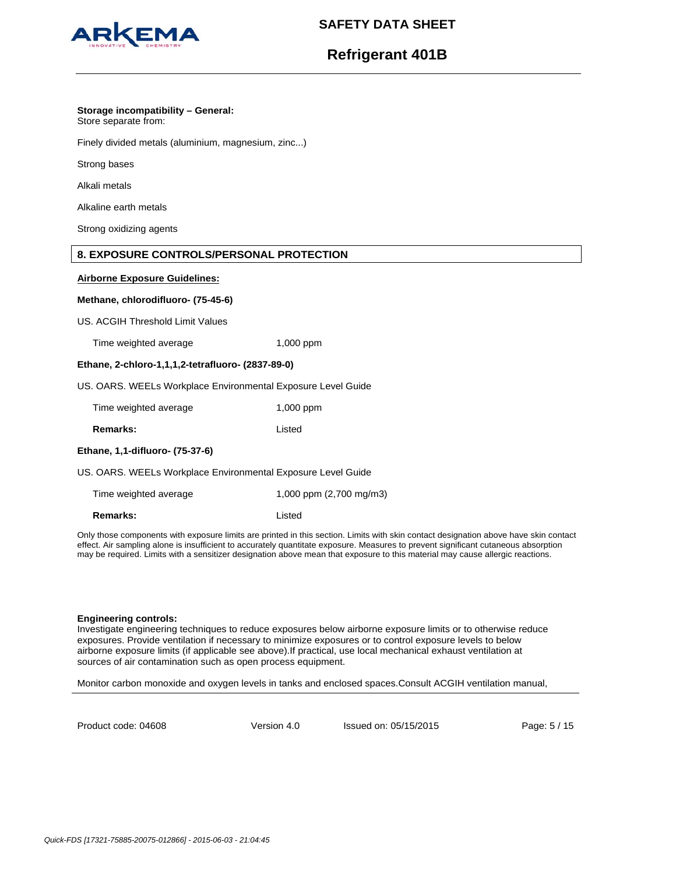

# **Refrigerant 401B**

## **Storage incompatibility – General:**

Store separate from:

Finely divided metals (aluminium, magnesium, zinc...)

Strong bases

Alkali metals

Alkaline earth metals

Strong oxidizing agents

## **8. EXPOSURE CONTROLS/PERSONAL PROTECTION**

## **Airborne Exposure Guidelines:**

## **Methane, chlorodifluoro- (75-45-6)**

US. ACGIH Threshold Limit Values

Time weighted average 1,000 ppm

## **Ethane, 2-chloro-1,1,1,2-tetrafluoro- (2837-89-0)**

US. OARS. WEELs Workplace Environmental Exposure Level Guide

| Time weighted average | 1,000 ppm |
|-----------------------|-----------|
|                       |           |

**Remarks:** Listed

## **Ethane, 1,1-difluoro- (75-37-6)**

US. OARS. WEELs Workplace Environmental Exposure Level Guide

| Time weighted average | 1,000 ppm (2,700 mg/m3) |
|-----------------------|-------------------------|
|                       |                         |

**Remarks:** Listed

Only those components with exposure limits are printed in this section. Limits with skin contact designation above have skin contact effect. Air sampling alone is insufficient to accurately quantitate exposure. Measures to prevent significant cutaneous absorption may be required. Limits with a sensitizer designation above mean that exposure to this material may cause allergic reactions.

## **Engineering controls:**

Investigate engineering techniques to reduce exposures below airborne exposure limits or to otherwise reduce exposures. Provide ventilation if necessary to minimize exposures or to control exposure levels to below airborne exposure limits (if applicable see above).If practical, use local mechanical exhaust ventilation at sources of air contamination such as open process equipment.

Monitor carbon monoxide and oxygen levels in tanks and enclosed spaces.Consult ACGIH ventilation manual,

Product code: 04608

Version 4.0 Issued on: 05/15/2015 Page: 5 / 15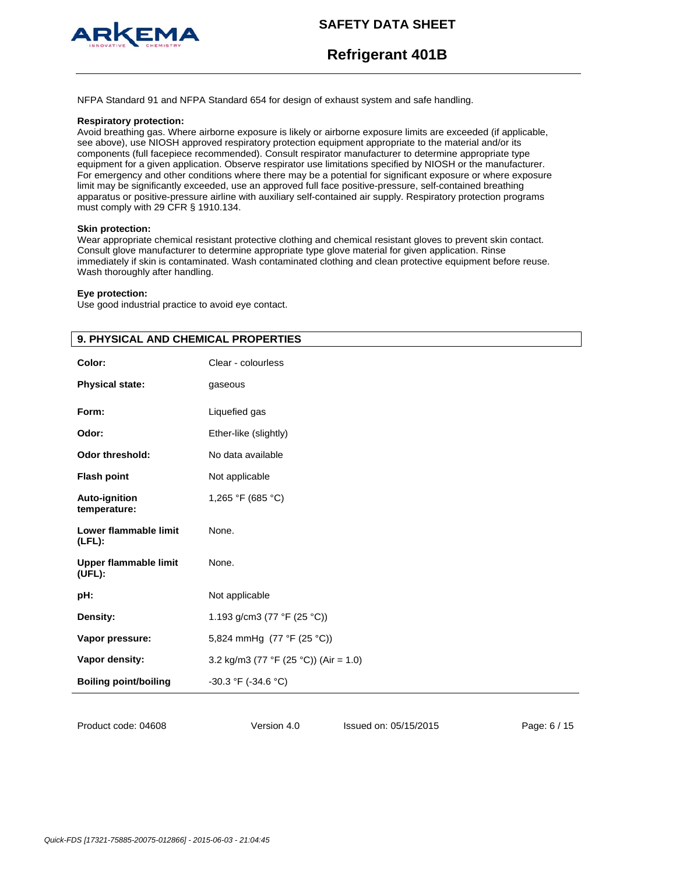



**Refrigerant 401B**

NFPA Standard 91 and NFPA Standard 654 for design of exhaust system and safe handling.

#### **Respiratory protection:**

Avoid breathing gas. Where airborne exposure is likely or airborne exposure limits are exceeded (if applicable, see above), use NIOSH approved respiratory protection equipment appropriate to the material and/or its components (full facepiece recommended). Consult respirator manufacturer to determine appropriate type equipment for a given application. Observe respirator use limitations specified by NIOSH or the manufacturer. For emergency and other conditions where there may be a potential for significant exposure or where exposure limit may be significantly exceeded, use an approved full face positive-pressure, self-contained breathing apparatus or positive-pressure airline with auxiliary self-contained air supply. Respiratory protection programs must comply with 29 CFR § 1910.134.

#### **Skin protection:**

Wear appropriate chemical resistant protective clothing and chemical resistant gloves to prevent skin contact. Consult glove manufacturer to determine appropriate type glove material for given application. Rinse immediately if skin is contaminated. Wash contaminated clothing and clean protective equipment before reuse. Wash thoroughly after handling.

#### **Eye protection:**

Use good industrial practice to avoid eye contact.

| 9. PHYSICAL AND CHEMICAL PROPERTIES    |                                       |  |
|----------------------------------------|---------------------------------------|--|
| Color:                                 | Clear - colourless                    |  |
| <b>Physical state:</b>                 | gaseous                               |  |
| Form:                                  | Liquefied gas                         |  |
| Odor:                                  | Ether-like (slightly)                 |  |
| <b>Odor threshold:</b>                 | No data available                     |  |
| <b>Flash point</b>                     | Not applicable                        |  |
| Auto-ignition<br>temperature:          | 1,265 °F (685 °C)                     |  |
| Lower flammable limit<br>$(LFL)$ :     | None.                                 |  |
| <b>Upper flammable limit</b><br>(UEL): | None.                                 |  |
| pH:                                    | Not applicable                        |  |
| Density:                               | 1.193 g/cm3 (77 °F (25 °C))           |  |
| Vapor pressure:                        | 5,824 mmHg (77 °F (25 °C))            |  |
| Vapor density:                         | 3.2 kg/m3 (77 °F (25 °C)) (Air = 1.0) |  |
| <b>Boiling point/boiling</b>           | -30.3 °F (-34.6 °C)                   |  |
|                                        |                                       |  |

Product code: 04608

Version 4.0 Issued on: 05/15/2015 Page: 6 / 15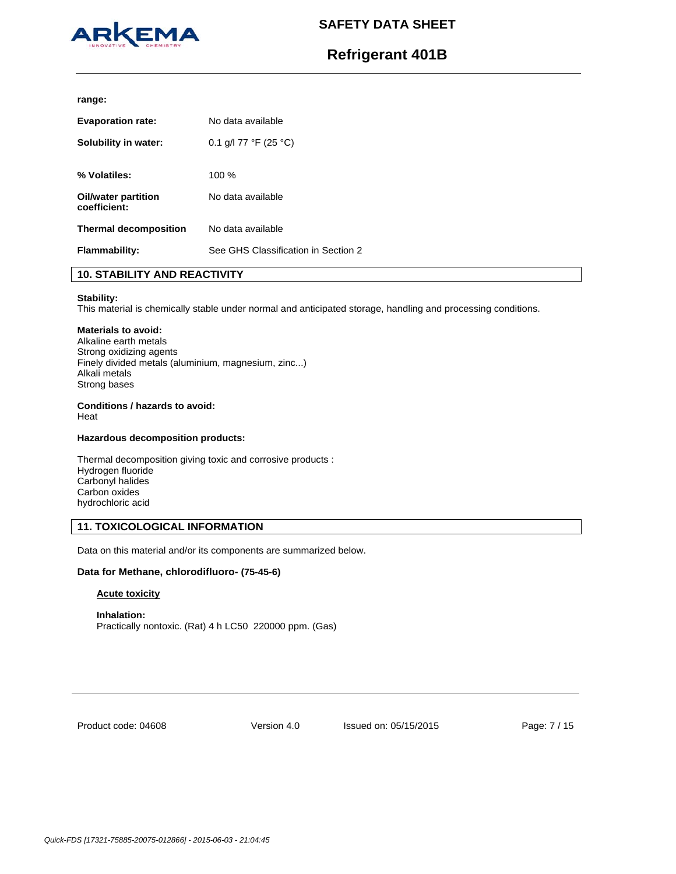

# **Refrigerant 401B**

#### **range:**

| <b>Evaporation rate:</b>            | No data available                   |
|-------------------------------------|-------------------------------------|
| Solubility in water:                | 0.1 g/l 77 °F (25 °C)               |
| % Volatiles:                        | 100%                                |
| Oil/water partition<br>coefficient: | No data available                   |
| <b>Thermal decomposition</b>        | No data available                   |
| <b>Flammability:</b>                | See GHS Classification in Section 2 |

## **10. STABILITY AND REACTIVITY**

## **Stability:**

This material is chemically stable under normal and anticipated storage, handling and processing conditions.

## **Materials to avoid:**

Alkaline earth metals Strong oxidizing agents Finely divided metals (aluminium, magnesium, zinc...) Alkali metals Strong bases

## **Conditions / hazards to avoid:**

Heat

## **Hazardous decomposition products:**

Thermal decomposition giving toxic and corrosive products : Hydrogen fluoride Carbonyl halides Carbon oxides hydrochloric acid

## **11. TOXICOLOGICAL INFORMATION**

Data on this material and/or its components are summarized below.

## **Data for Methane, chlorodifluoro- (75-45-6)**

## **Acute toxicity**

**Inhalation:**  Practically nontoxic. (Rat) 4 h LC50 220000 ppm. (Gas)

Product code: 04608

Version 4.0 Issued on: 05/15/2015 Page: 7 / 15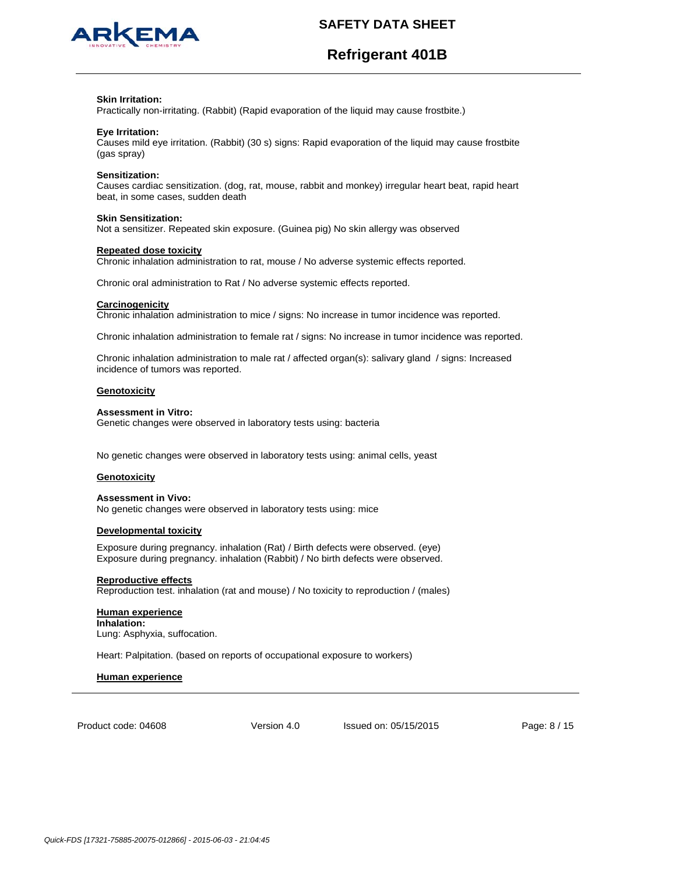

# **Refrigerant 401B**

#### **Skin Irritation:**

Practically non-irritating. (Rabbit) (Rapid evaporation of the liquid may cause frostbite.)

### **Eye Irritation:**

Causes mild eye irritation. (Rabbit) (30 s) signs: Rapid evaporation of the liquid may cause frostbite (gas spray)

#### **Sensitization:**

Causes cardiac sensitization. (dog, rat, mouse, rabbit and monkey) irregular heart beat, rapid heart beat, in some cases, sudden death

#### **Skin Sensitization:**

Not a sensitizer. Repeated skin exposure. (Guinea pig) No skin allergy was observed

## **Repeated dose toxicity**

Chronic inhalation administration to rat, mouse / No adverse systemic effects reported.

Chronic oral administration to Rat / No adverse systemic effects reported.

#### **Carcinogenicity**

Chronic inhalation administration to mice / signs: No increase in tumor incidence was reported.

Chronic inhalation administration to female rat / signs: No increase in tumor incidence was reported.

Chronic inhalation administration to male rat / affected organ(s): salivary gland / signs: Increased incidence of tumors was reported.

#### **Genotoxicity**

#### **Assessment in Vitro:**

Genetic changes were observed in laboratory tests using: bacteria

No genetic changes were observed in laboratory tests using: animal cells, yeast

#### **Genotoxicity**

#### **Assessment in Vivo:**

No genetic changes were observed in laboratory tests using: mice

#### **Developmental toxicity**

Exposure during pregnancy. inhalation (Rat) / Birth defects were observed. (eye) Exposure during pregnancy. inhalation (Rabbit) / No birth defects were observed.

#### **Reproductive effects**

Reproduction test. inhalation (rat and mouse) / No toxicity to reproduction / (males)

#### **Human experience Inhalation:** Lung: Asphyxia, suffocation.

Heart: Palpitation. (based on reports of occupational exposure to workers)

#### **Human experience**

Product code: 04608

Version 4.0 Issued on: 05/15/2015 Page: 8 / 15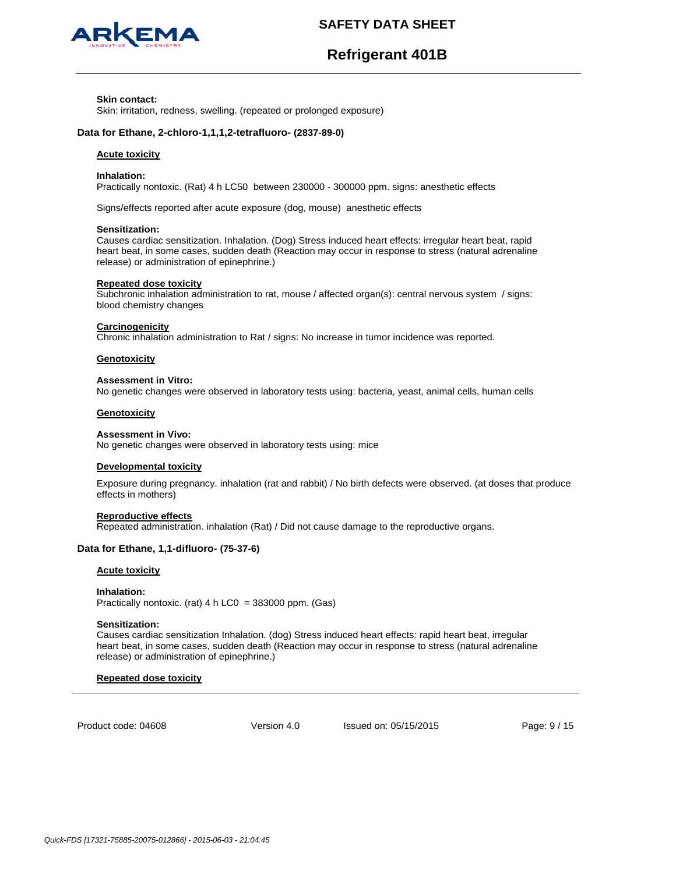

# **Refrigerant 401B**

#### **Skin contact:**

Skin: irritation, redness, swelling. (repeated or prolonged exposure)

## **Data for Ethane, 2-chloro-1,1,1,2-tetrafluoro- (2837-89-0)**

#### **Acute toxicity**

#### **Inhalation:**

Practically nontoxic. (Rat) 4 h LC50 between 230000 - 300000 ppm. signs: anesthetic effects

Signs/effects reported after acute exposure (dog, mouse) anesthetic effects

#### **Sensitization:**

Causes cardiac sensitization. Inhalation. (Dog) Stress induced heart effects: irregular heart beat, rapid heart beat, in some cases, sudden death (Reaction may occur in response to stress (natural adrenaline release) or administration of epinephrine.)

#### **Repeated dose toxicity**

Subchronic inhalation administration to rat, mouse / affected organ(s): central nervous system / signs: blood chemistry changes

## **Carcinogenicity**

Chronic inhalation administration to Rat / signs: No increase in tumor incidence was reported.

#### **Genotoxicity**

## **Assessment in Vitro:**

No genetic changes were observed in laboratory tests using: bacteria, yeast, animal cells, human cells

#### **Genotoxicity**

#### **Assessment in Vivo:**

No genetic changes were observed in laboratory tests using: mice

#### **Developmental toxicity**

Exposure during pregnancy. inhalation (rat and rabbit) / No birth defects were observed. (at doses that produce effects in mothers)

### **Reproductive effects**

Repeated administration. inhalation (Rat) / Did not cause damage to the reproductive organs.

## **Data for Ethane, 1,1-difluoro- (75-37-6)**

#### **Acute toxicity**

#### **Inhalation:**

Practically nontoxic. (rat)  $4 h$  LC0 = 383000 ppm. (Gas)

#### **Sensitization:**

Causes cardiac sensitization Inhalation. (dog) Stress induced heart effects: rapid heart beat, irregular heart beat, in some cases, sudden death (Reaction may occur in response to stress (natural adrenaline release) or administration of epinephrine.)

## **Repeated dose toxicity**

Product code: 04608

Version 4.0 Issued on: 05/15/2015 Page: 9 / 15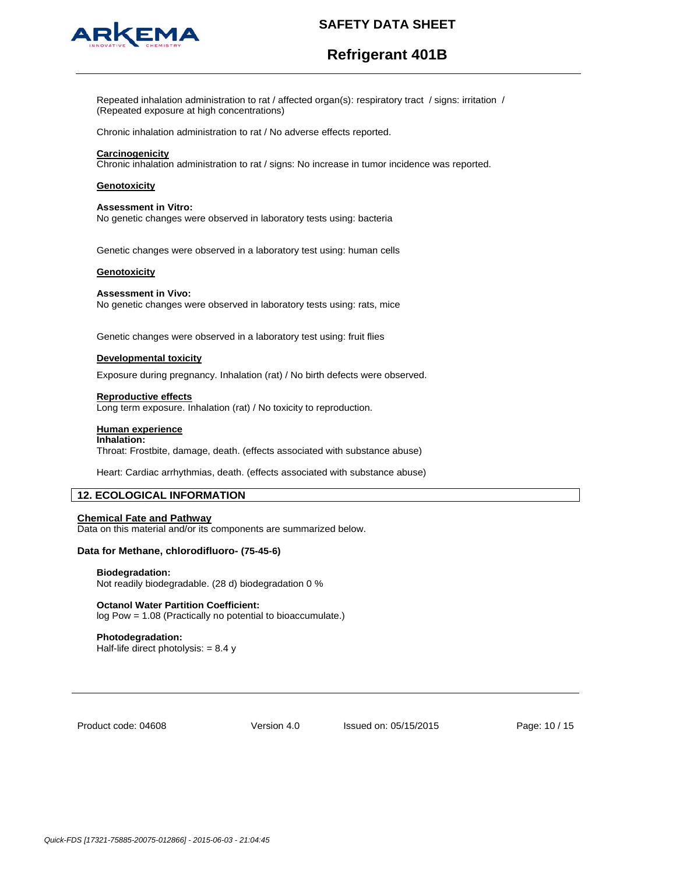

# **Refrigerant 401B**

Repeated inhalation administration to rat / affected organ(s): respiratory tract / signs: irritation / (Repeated exposure at high concentrations)

Chronic inhalation administration to rat / No adverse effects reported.

### **Carcinogenicity**

Chronic inhalation administration to rat / signs: No increase in tumor incidence was reported.

### **Genotoxicity**

#### **Assessment in Vitro:**

No genetic changes were observed in laboratory tests using: bacteria

Genetic changes were observed in a laboratory test using: human cells

#### **Genotoxicity**

#### **Assessment in Vivo:**

No genetic changes were observed in laboratory tests using: rats, mice

Genetic changes were observed in a laboratory test using: fruit flies

## **Developmental toxicity**

Exposure during pregnancy. Inhalation (rat) / No birth defects were observed.

#### **Reproductive effects**

Long term exposure. Inhalation (rat) / No toxicity to reproduction.

### **Human experience**

## **Inhalation:**

Throat: Frostbite, damage, death. (effects associated with substance abuse)

Heart: Cardiac arrhythmias, death. (effects associated with substance abuse)

## **12. ECOLOGICAL INFORMATION**

#### **Chemical Fate and Pathway**

Data on this material and/or its components are summarized below.

## **Data for Methane, chlorodifluoro- (75-45-6)**

#### **Biodegradation:**

Not readily biodegradable. (28 d) biodegradation 0 %

#### **Octanol Water Partition Coefficient:**

log Pow = 1.08 (Practically no potential to bioaccumulate.)

## **Photodegradation:**

Half-life direct photolysis:  $= 8.4 y$ 

Product code: 04608

Version 4.0 Issued on: 05/15/2015 Page: 10 / 15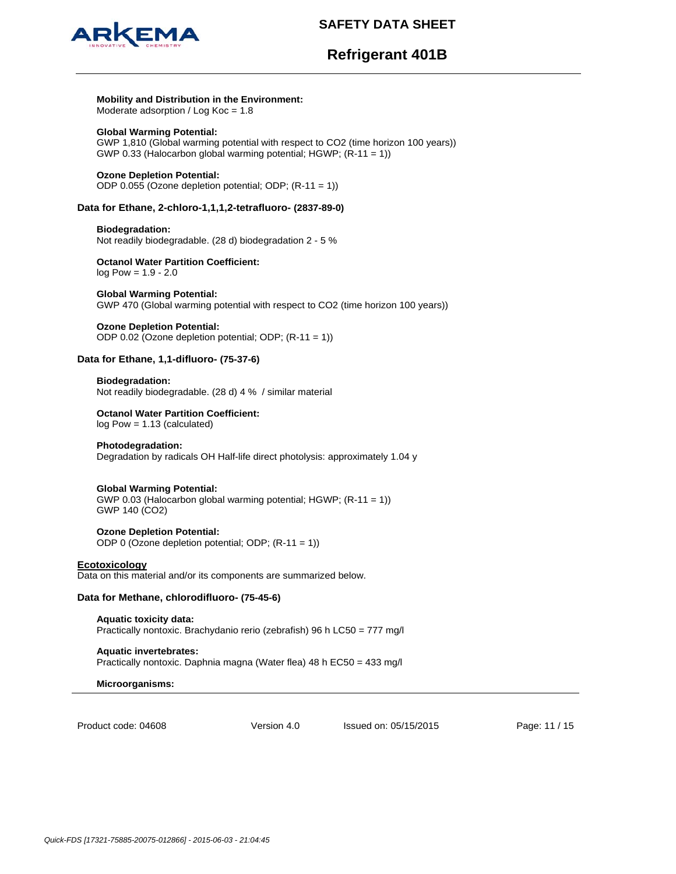

# **Refrigerant 401B**

#### **Mobility and Distribution in the Environment:**

Moderate adsorption / Log Koc = 1.8

## **Global Warming Potential:**

GWP 1,810 (Global warming potential with respect to CO2 (time horizon 100 years)) GWP 0.33 (Halocarbon global warming potential; HGWP; (R-11 = 1))

## **Ozone Depletion Potential:**

ODP 0.055 (Ozone depletion potential; ODP; (R-11 = 1))

## **Data for Ethane, 2-chloro-1,1,1,2-tetrafluoro- (2837-89-0)**

### **Biodegradation:**

Not readily biodegradable. (28 d) biodegradation 2 - 5 %

### **Octanol Water Partition Coefficient:**  log Pow = 1.9 - 2.0

#### **Global Warming Potential:**

GWP 470 (Global warming potential with respect to CO2 (time horizon 100 years))

## **Ozone Depletion Potential:**

ODP 0.02 (Ozone depletion potential; ODP; (R-11 = 1))

## **Data for Ethane, 1,1-difluoro- (75-37-6)**

### **Biodegradation:**

Not readily biodegradable. (28 d) 4 % / similar material

## **Octanol Water Partition Coefficient:**

log Pow = 1.13 (calculated)

## **Photodegradation:**

Degradation by radicals OH Half-life direct photolysis: approximately 1.04 y

## **Global Warming Potential:**

GWP 0.03 (Halocarbon global warming potential; HGWP; (R-11 = 1)) GWP 140 (CO2)

## **Ozone Depletion Potential:**

ODP 0 (Ozone depletion potential; ODP; (R-11 = 1))

## **Ecotoxicology**

Data on this material and/or its components are summarized below.

## **Data for Methane, chlorodifluoro- (75-45-6)**

**Aquatic toxicity data:**  Practically nontoxic. Brachydanio rerio (zebrafish) 96 h LC50 = 777 mg/l

**Aquatic invertebrates:**  Practically nontoxic. Daphnia magna (Water flea) 48 h EC50 = 433 mg/l

## **Microorganisms:**

Product code: 04608

Version 4.0 Issued on: 05/15/2015 Page: 11 / 15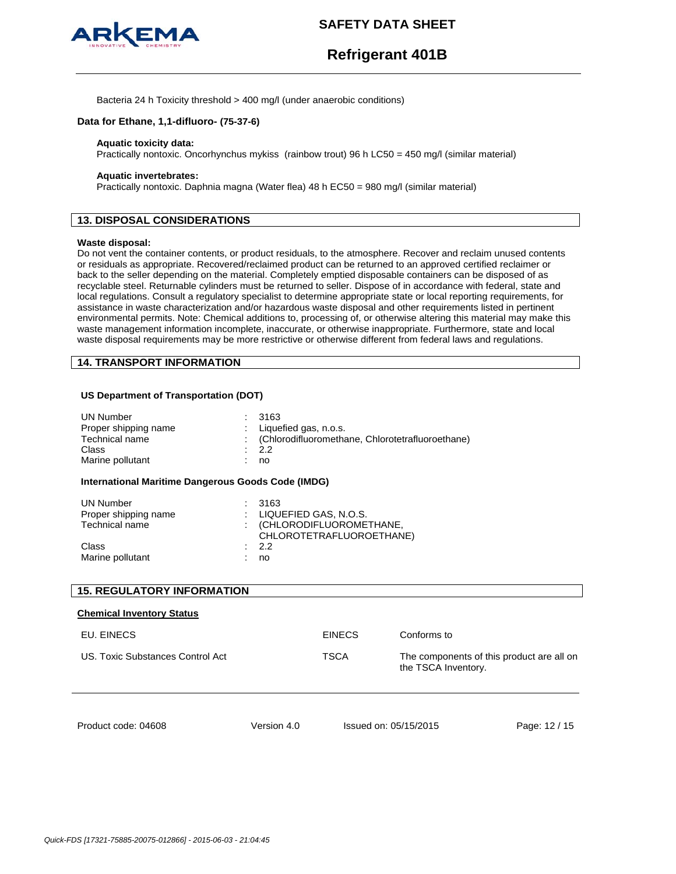

# **Refrigerant 401B**

Bacteria 24 h Toxicity threshold > 400 mg/l (under anaerobic conditions)

## **Data for Ethane, 1,1-difluoro- (75-37-6)**

#### **Aquatic toxicity data:**

Practically nontoxic. Oncorhynchus mykiss (rainbow trout) 96 h LC50 = 450 mg/l (similar material)

### **Aquatic invertebrates:**

Practically nontoxic. Daphnia magna (Water flea) 48 h EC50 = 980 mg/l (similar material)

## **13. DISPOSAL CONSIDERATIONS**

## **Waste disposal:**

Do not vent the container contents, or product residuals, to the atmosphere. Recover and reclaim unused contents or residuals as appropriate. Recovered/reclaimed product can be returned to an approved certified reclaimer or back to the seller depending on the material. Completely emptied disposable containers can be disposed of as recyclable steel. Returnable cylinders must be returned to seller. Dispose of in accordance with federal, state and local regulations. Consult a regulatory specialist to determine appropriate state or local reporting requirements, for assistance in waste characterization and/or hazardous waste disposal and other requirements listed in pertinent environmental permits. Note: Chemical additions to, processing of, or otherwise altering this material may make this waste management information incomplete, inaccurate, or otherwise inappropriate. Furthermore, state and local waste disposal requirements may be more restrictive or otherwise different from federal laws and regulations.

## **14. TRANSPORT INFORMATION**

## **US Department of Transportation (DOT)**

| <b>UN Number</b><br>Proper shipping name<br>Technical name | : 3163<br>: Liquefied gas, n.o.s.<br>: (Chlorodifluoromethane, Chlorotetrafluoroethane) |
|------------------------------------------------------------|-----------------------------------------------------------------------------------------|
| Class                                                      | : 2.2                                                                                   |
| Marine pollutant                                           | no                                                                                      |

#### **International Maritime Dangerous Goods Code (IMDG)**

| <b>UN Number</b><br>Proper shipping name<br>Technical name | : 3163<br>$\therefore$ LIQUEFIED GAS, N.O.S.<br>: (CHLORODIFLUOROMETHANE,<br>CHLOROTETRAFLUOROETHANE) |
|------------------------------------------------------------|-------------------------------------------------------------------------------------------------------|
| Class                                                      | $\cdot$ 2.2                                                                                           |
| Marine pollutant                                           | no                                                                                                    |

| <b>15. REGULATORY INFORMATION</b> |             |               |                       |                                           |
|-----------------------------------|-------------|---------------|-----------------------|-------------------------------------------|
| <b>Chemical Inventory Status</b>  |             |               |                       |                                           |
| EU. EINECS                        |             | <b>EINECS</b> | Conforms to           |                                           |
| U.S. Toxic Substances Control Act |             | TSCA          | the TSCA Inventory.   | The components of this product are all on |
| Product code: 04608               | Version 4.0 |               | Issued on: 05/15/2015 | Page: 12 / 15                             |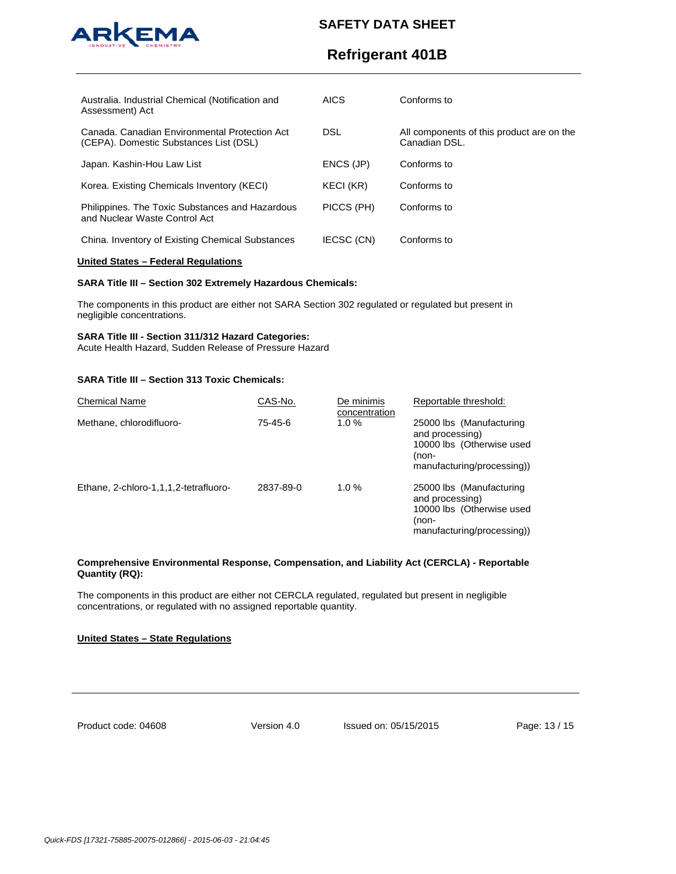

# **Refrigerant 401B**

| Australia. Industrial Chemical (Notification and<br>Assessment) Act                     | <b>AICS</b>       | Conforms to                                                |
|-----------------------------------------------------------------------------------------|-------------------|------------------------------------------------------------|
| Canada, Canadian Environmental Protection Act<br>(CEPA). Domestic Substances List (DSL) | DSL               | All components of this product are on the<br>Canadian DSL. |
| Japan. Kashin-Hou Law List                                                              | ENCS (JP)         | Conforms to                                                |
| Korea. Existing Chemicals Inventory (KECI)                                              | KECI (KR)         | Conforms to                                                |
| Philippines. The Toxic Substances and Hazardous<br>and Nuclear Waste Control Act        | PICCS (PH)        | Conforms to                                                |
| China. Inventory of Existing Chemical Substances                                        | <b>IECSC (CN)</b> | Conforms to                                                |

## **United States – Federal Regulations**

## **SARA Title III – Section 302 Extremely Hazardous Chemicals:**

The components in this product are either not SARA Section 302 regulated or regulated but present in negligible concentrations.

#### **SARA Title III - Section 311/312 Hazard Categories:**

Acute Health Hazard, Sudden Release of Pressure Hazard

## **SARA Title III – Section 313 Toxic Chemicals:**

| <b>Chemical Name</b>                  | CAS-No.   | De minimis<br>concentration | Reportable threshold:                                                                                           |
|---------------------------------------|-----------|-----------------------------|-----------------------------------------------------------------------------------------------------------------|
| Methane, chlorodifluoro-              | 75-45-6   | $1.0 \%$                    | 25000 lbs (Manufacturing<br>and processing)<br>10000 lbs (Otherwise used<br>(non-<br>manufacturing/processing)) |
| Ethane, 2-chloro-1,1,1,2-tetrafluoro- | 2837-89-0 | 1.0%                        | 25000 lbs (Manufacturing<br>and processing)<br>10000 lbs (Otherwise used<br>(non-<br>manufacturing/processing)  |

## **Comprehensive Environmental Response, Compensation, and Liability Act (CERCLA) - Reportable Quantity (RQ):**

The components in this product are either not CERCLA regulated, regulated but present in negligible concentrations, or regulated with no assigned reportable quantity.

## **United States – State Regulations**

Product code: 04608

Version 4.0 Issued on: 05/15/2015 Page: 13 / 15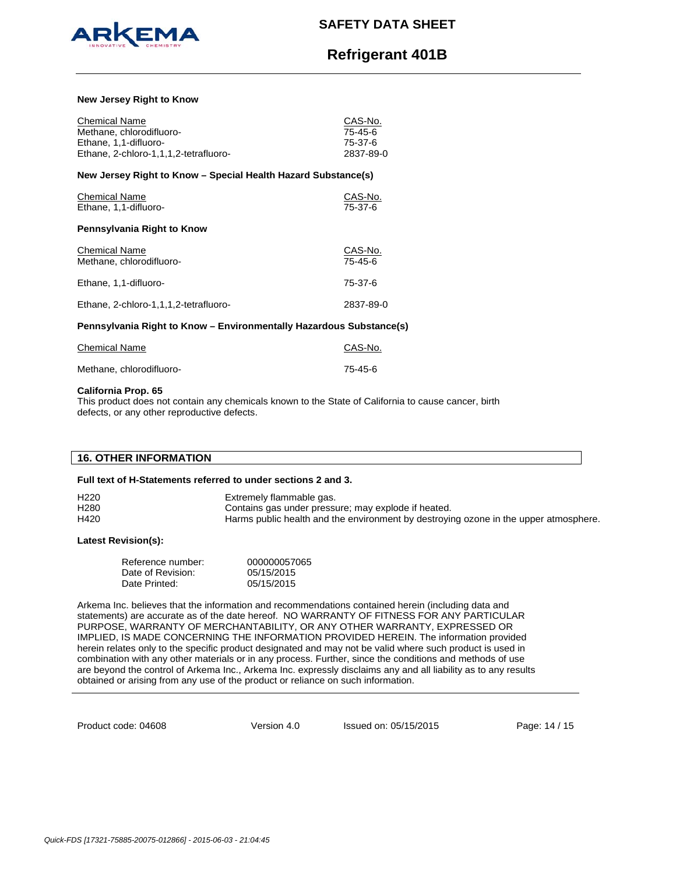

# **Refrigerant 401B**

### **New Jersey Right to Know**

| <b>Chemical Name</b><br>Methane, chlorodifluoro-<br>Ethane, 1,1-difluoro-<br>Ethane, 2-chloro-1,1,1,2-tetrafluoro- | CAS-No.<br>75-45-6<br>75-37-6<br>2837-89-0 |  |  |
|--------------------------------------------------------------------------------------------------------------------|--------------------------------------------|--|--|
| New Jersey Right to Know – Special Health Hazard Substance(s)                                                      |                                            |  |  |
| <b>Chemical Name</b><br>Ethane, 1,1-difluoro-                                                                      | CAS-No.<br>75-37-6                         |  |  |
| Pennsylvania Right to Know                                                                                         |                                            |  |  |
| <b>Chemical Name</b><br>Methane, chlorodifluoro-                                                                   | CAS-No.<br>75-45-6                         |  |  |
| Ethane, 1,1-difluoro-                                                                                              | 75-37-6                                    |  |  |
| Ethane, 2-chloro-1,1,1,2-tetrafluoro-                                                                              | 2837-89-0                                  |  |  |
| Pennsylvania Right to Know – Environmentally Hazardous Substance(s)                                                |                                            |  |  |
| <b>Chemical Name</b>                                                                                               | CAS-No.                                    |  |  |

## Methane, chlorodifluoro- 75-45-6

#### **California Prop. 65**

This product does not contain any chemicals known to the State of California to cause cancer, birth defects, or any other reproductive defects.

## **16. OTHER INFORMATION**

#### **Full text of H-Statements referred to under sections 2 and 3.**

| H <sub>220</sub> | Extremely flammable gas.                                                             |
|------------------|--------------------------------------------------------------------------------------|
| H <sub>280</sub> | Contains gas under pressure; may explode if heated.                                  |
| H420             | Harms public health and the environment by destroying ozone in the upper atmosphere. |

## **Latest Revision(s):**

| Reference number: | 000000057065 |
|-------------------|--------------|
| Date of Revision: | 05/15/2015   |
| Date Printed:     | 05/15/2015   |

Arkema Inc. believes that the information and recommendations contained herein (including data and statements) are accurate as of the date hereof. NO WARRANTY OF FITNESS FOR ANY PARTICULAR PURPOSE, WARRANTY OF MERCHANTABILITY, OR ANY OTHER WARRANTY, EXPRESSED OR IMPLIED, IS MADE CONCERNING THE INFORMATION PROVIDED HEREIN. The information provided herein relates only to the specific product designated and may not be valid where such product is used in combination with any other materials or in any process. Further, since the conditions and methods of use are beyond the control of Arkema Inc., Arkema Inc. expressly disclaims any and all liability as to any results obtained or arising from any use of the product or reliance on such information.

Product code: 04608

Version 4.0 Issued on: 05/15/2015 Page: 14 / 15